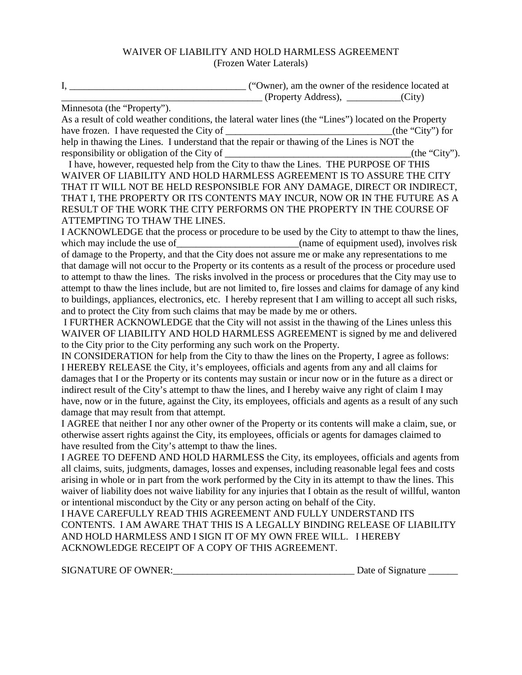## WAIVER OF LIABILITY AND HOLD HARMLESS AGREEMENT

(Frozen Water Laterals)

I, \_\_\_\_\_\_\_\_\_\_\_\_\_\_\_\_\_\_\_\_\_\_\_\_\_\_\_\_\_\_\_\_\_\_\_\_ ("Owner), am the owner of the residence located at \_\_\_\_\_\_\_\_\_\_\_\_\_\_\_\_\_\_\_\_\_\_\_\_\_\_\_\_\_\_\_\_\_\_\_\_\_\_\_\_\_ (Property Address), \_\_\_\_\_\_\_\_\_\_\_(City) Minnesota (the "Property"). As a result of cold weather conditions, the lateral water lines (the "Lines") located on the Property have frozen. I have requested the City of \_\_\_\_\_\_\_\_\_\_\_\_\_\_\_\_\_\_\_\_\_\_\_\_\_\_\_\_\_\_\_\_\_\_(the "City") for help in thawing the Lines. I understand that the repair or thawing of the Lines is NOT the responsibility or obligation of the City of \_\_\_\_\_\_\_\_\_\_\_\_\_\_\_\_\_\_\_\_\_\_\_\_\_\_\_\_\_\_\_\_\_\_\_\_\_\_(the "City"). I have, however, requested help from the City to thaw the Lines. THE PURPOSE OF THIS WAIVER OF LIABILITY AND HOLD HARMLESS AGREEMENT IS TO ASSURE THE CITY THAT IT WILL NOT BE HELD RESPONSIBLE FOR ANY DAMAGE, DIRECT OR INDIRECT, THAT I, THE PROPERTY OR ITS CONTENTS MAY INCUR, NOW OR IN THE FUTURE AS A RESULT OF THE WORK THE CITY PERFORMS ON THE PROPERTY IN THE COURSE OF ATTEMPTING TO THAW THE LINES. I ACKNOWLEDGE that the process or procedure to be used by the City to attempt to thaw the lines, which may include the use of \_\_\_\_\_\_\_\_\_\_\_\_\_\_\_\_\_\_\_\_\_\_\_\_\_(name of equipment used), involves risk of damage to the Property, and that the City does not assure me or make any representations to me that damage will not occur to the Property or its contents as a result of the process or procedure used to attempt to thaw the lines. The risks involved in the process or procedures that the City may use to attempt to thaw the lines include, but are not limited to, fire losses and claims for damage of any kind to buildings, appliances, electronics, etc. I hereby represent that I am willing to accept all such risks, and to protect the City from such claims that may be made by me or others. I FURTHER ACKNOWLEDGE that the City will not assist in the thawing of the Lines unless this WAIVER OF LIABILITY AND HOLD HARMLESS AGREEMENT is signed by me and delivered to the City prior to the City performing any such work on the Property. IN CONSIDERATION for help from the City to thaw the lines on the Property, I agree as follows: I HEREBY RELEASE the City, it's employees, officials and agents from any and all claims for damages that I or the Property or its contents may sustain or incur now or in the future as a direct or indirect result of the City's attempt to thaw the lines, and I hereby waive any right of claim I may have, now or in the future, against the City, its employees, officials and agents as a result of any such damage that may result from that attempt. I AGREE that neither I nor any other owner of the Property or its contents will make a claim, sue, or otherwise assert rights against the City, its employees, officials or agents for damages claimed to have resulted from the City's attempt to thaw the lines. I AGREE TO DEFEND AND HOLD HARMLESS the City, its employees, officials and agents from all claims, suits, judgments, damages, losses and expenses, including reasonable legal fees and costs arising in whole or in part from the work performed by the City in its attempt to thaw the lines. This waiver of liability does not waive liability for any injuries that I obtain as the result of willful, wanton or intentional misconduct by the City or any person acting on behalf of the City. I HAVE CAREFULLY READ THIS AGREEMENT AND FULLY UNDERSTAND ITS CONTENTS. I AM AWARE THAT THIS IS A LEGALLY BINDING RELEASE OF LIABILITY AND HOLD HARMLESS AND I SIGN IT OF MY OWN FREE WILL. I HEREBY ACKNOWLEDGE RECEIPT OF A COPY OF THIS AGREEMENT. SIGNATURE OF OWNER:\_\_\_\_\_\_\_\_\_\_\_\_\_\_\_\_\_\_\_\_\_\_\_\_\_\_\_\_\_\_\_\_\_\_\_\_\_ Date of Signature \_\_\_\_\_\_